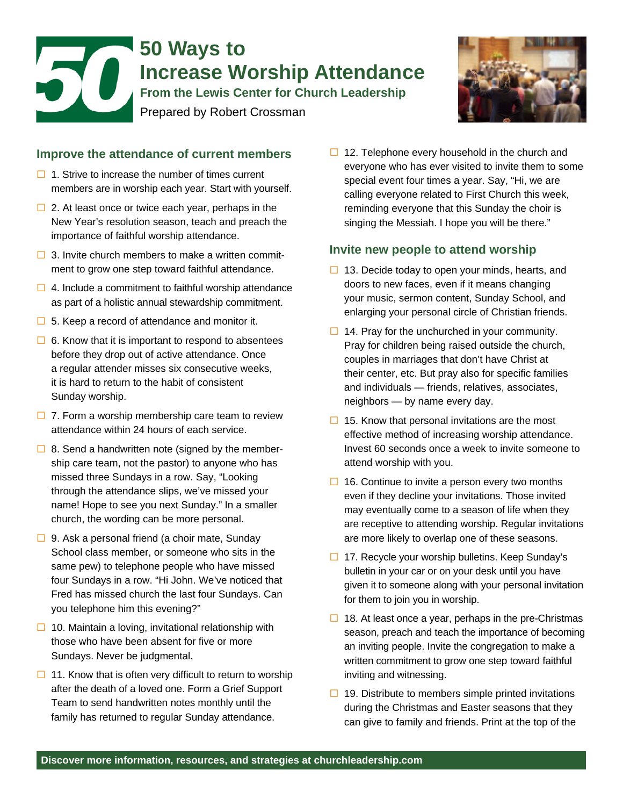# 50 **50 Ways to Increase Worship Attendance From the Lewis Center for Church Leadership**  Prepared by Robert Crossman



# **Improve the attendance of current members**

- $\Box$  1. Strive to increase the number of times current members are in worship each year. Start with yourself.
- $\Box$  2. At least once or twice each year, perhaps in the New Year's resolution season, teach and preach the importance of faithful worship attendance.
- $\Box$  3. Invite church members to make a written commitment to grow one step toward faithful attendance.
- $\Box$  4. Include a commitment to faithful worship attendance as part of a holistic annual stewardship commitment.
- $\Box$  5. Keep a record of attendance and monitor it.
- $\Box$  6. Know that it is important to respond to absentees before they drop out of active attendance. Once a regular attender misses six consecutive weeks, it is hard to return to the habit of consistent Sunday worship.
- $\Box$  7. Form a worship membership care team to review attendance within 24 hours of each service.
- $\Box$  8. Send a handwritten note (signed by the membership care team, not the pastor) to anyone who has missed three Sundays in a row. Say, "Looking through the attendance slips, we've missed your name! Hope to see you next Sunday." In a smaller church, the wording can be more personal.
- $\Box$  9. Ask a personal friend (a choir mate, Sunday School class member, or someone who sits in the same pew) to telephone people who have missed four Sundays in a row. "Hi John. We've noticed that Fred has missed church the last four Sundays. Can you telephone him this evening?"
- $\Box$  10. Maintain a loving, invitational relationship with those who have been absent for five or more Sundays. Never be judgmental.
- $\Box$  11. Know that is often very difficult to return to worship after the death of a loved one. Form a Grief Support Team to send handwritten notes monthly until the family has returned to regular Sunday attendance.

 $\Box$  12. Telephone every household in the church and everyone who has ever visited to invite them to some special event four times a year. Say, "Hi, we are calling everyone related to First Church this week, reminding everyone that this Sunday the choir is singing the Messiah. I hope you will be there."

### **Invite new people to attend worship**

- $\Box$  13. Decide today to open your minds, hearts, and doors to new faces, even if it means changing your music, sermon content, Sunday School, and enlarging your personal circle of Christian friends.
- $\Box$  14. Pray for the unchurched in your community. Pray for children being raised outside the church, couples in marriages that don't have Christ at their center, etc. But pray also for specific families and individuals — friends, relatives, associates, neighbors — by name every day.
- $\Box$  15. Know that personal invitations are the most effective method of increasing worship attendance. Invest 60 seconds once a week to invite someone to attend worship with you.
- $\Box$  16. Continue to invite a person every two months even if they decline your invitations. Those invited may eventually come to a season of life when they are receptive to attending worship. Regular invitations are more likely to overlap one of these seasons.
- $\Box$  17. Recycle your worship bulletins. Keep Sunday's bulletin in your car or on your desk until you have given it to someone along with your personal invitation for them to join you in worship.
- $\Box$  18. At least once a year, perhaps in the pre-Christmas season, preach and teach the importance of becoming an inviting people. Invite the congregation to make a written commitment to grow one step toward faithful inviting and witnessing.
- $\Box$  19. Distribute to members simple printed invitations during the Christmas and Easter seasons that they can give to family and friends. Print at the top of the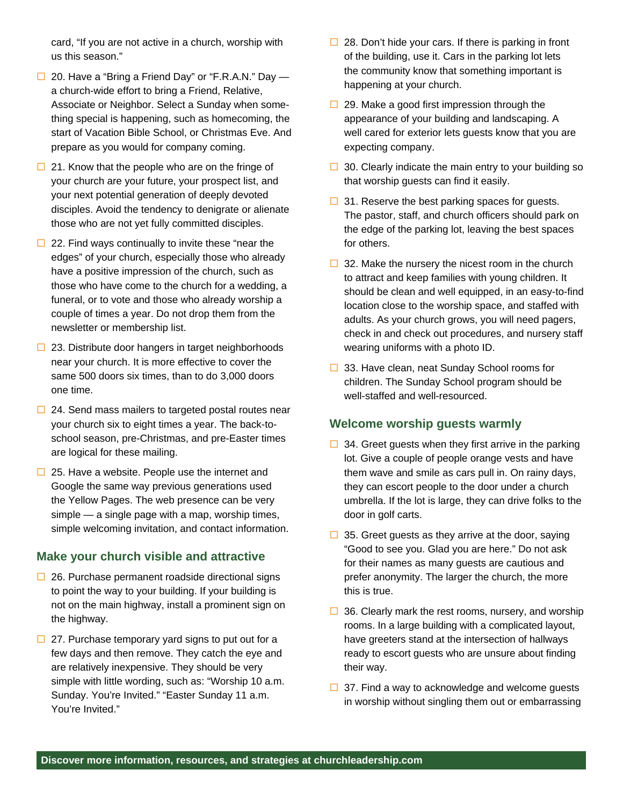card, "If you are not active in a church, worship with us this season."

- $\Box$  20. Have a "Bring a Friend Day" or "F.R.A.N." Day a church-wide effort to bring a Friend, Relative, Associate or Neighbor. Select a Sunday when something special is happening, such as homecoming, the start of Vacation Bible School, or Christmas Eve. And prepare as you would for company coming.
- $\Box$  21. Know that the people who are on the fringe of your church are your future, your prospect list, and your next potential generation of deeply devoted disciples. Avoid the tendency to denigrate or alienate those who are not yet fully committed disciples.
- $\Box$  22. Find ways continually to invite these "near the edges" of your church, especially those who already have a positive impression of the church, such as those who have come to the church for a wedding, a funeral, or to vote and those who already worship a couple of times a year. Do not drop them from the newsletter or membership list.
- $\Box$  23. Distribute door hangers in target neighborhoods near your church. It is more effective to cover the same 500 doors six times, than to do 3,000 doors one time.
- $\Box$  24. Send mass mailers to targeted postal routes near your church six to eight times a year. The back-toschool season, pre-Christmas, and pre-Easter times are logical for these mailing.
- $\Box$  25. Have a website. People use the internet and Google the same way previous generations used the Yellow Pages. The web presence can be very simple — a single page with a map, worship times, simple welcoming invitation, and contact information.

### **Make your church visible and attractive**

- $\Box$  26. Purchase permanent roadside directional signs to point the way to your building. If your building is not on the main highway, install a prominent sign on the highway.
- $\Box$  27. Purchase temporary yard signs to put out for a few days and then remove. They catch the eye and are relatively inexpensive. They should be very simple with little wording, such as: "Worship 10 a.m. Sunday. You're Invited." "Easter Sunday 11 a.m. You're Invited."
- $\Box$  28. Don't hide your cars. If there is parking in front of the building, use it. Cars in the parking lot lets the community know that something important is happening at your church.
- $\Box$  29. Make a good first impression through the appearance of your building and landscaping. A well cared for exterior lets guests know that you are expecting company.
- $\Box$  30. Clearly indicate the main entry to your building so that worship guests can find it easily.
- $\Box$  31. Reserve the best parking spaces for guests. The pastor, staff, and church officers should park on the edge of the parking lot, leaving the best spaces for others.
- $\Box$  32. Make the nursery the nicest room in the church to attract and keep families with young children. It should be clean and well equipped, in an easy-to-find location close to the worship space, and staffed with adults. As your church grows, you will need pagers, check in and check out procedures, and nursery staff wearing uniforms with a photo ID.
- $\Box$  33. Have clean, neat Sunday School rooms for children. The Sunday School program should be well-staffed and well-resourced.

# **Welcome worship guests warmly**

- $\Box$  34. Greet guests when they first arrive in the parking lot. Give a couple of people orange vests and have them wave and smile as cars pull in. On rainy days, they can escort people to the door under a church umbrella. If the lot is large, they can drive folks to the door in golf carts.
- $\Box$  35. Greet guests as they arrive at the door, saying "Good to see you. Glad you are here." Do not ask for their names as many guests are cautious and prefer anonymity. The larger the church, the more this is true.
- $\Box$  36. Clearly mark the rest rooms, nursery, and worship rooms. In a large building with a complicated layout, have greeters stand at the intersection of hallways ready to escort guests who are unsure about finding their way.
- $\Box$  37. Find a way to acknowledge and welcome guests in worship without singling them out or embarrassing